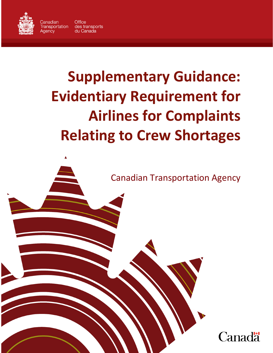

Canadian **Office Transportation** des transports du Canada Aaencv

# **Supplementary Guidance: Evidentiary Requirement for Airlines for Complaints Relating to Crew Shortages**

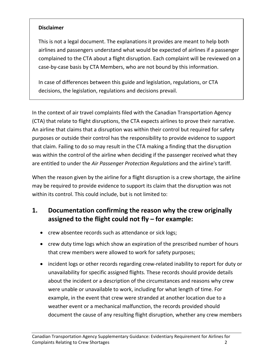#### **Disclaimer**

This is not a legal document. The explanations it provides are meant to help both airlines and passengers understand what would be expected of airlines if a passenger complained to the CTA about a flight disruption. Each complaint will be reviewed on a case-by-case basis by CTA Members, who are not bound by this information.

In case of differences between this guide and legislation, regulations, or CTA decisions, the legislation, regulations and decisions prevail.

In the context of air travel complaints filed with the Canadian Transportation Agency (CTA) that relate to flight disruptions, the CTA expects airlines to prove their narrative. An airline that claims that a disruption was within their control but required for safety purposes or outside their control has the responsibility to provide evidence to support that claim. Failing to do so may result in the CTA making a finding that the disruption was within the control of the airline when deciding if the passenger received what they are entitled to under the *Air Passenger Protection Regulations* and the airline's tariff.

When the reason given by the airline for a flight disruption is a crew shortage, the airline may be required to provide evidence to support its claim that the disruption was not within its control. This could include, but is not limited to:

## **1. Documentation confirming the reason why the crew originally assigned to the flight could not fly – for example:**

- crew absentee records such as attendance or sick logs;
- crew duty time logs which show an expiration of the prescribed number of hours that crew members were allowed to work for safety purposes;
- incident logs or other records regarding crew-related inability to report for duty or unavailability for specific assigned flights. These records should provide details about the incident or a description of the circumstances and reasons why crew were unable or unavailable to work, including for what length of time. For example, in the event that crew were stranded at another location due to a weather event or a mechanical malfunction, the records provided should document the cause of any resulting flight disruption, whether any crew members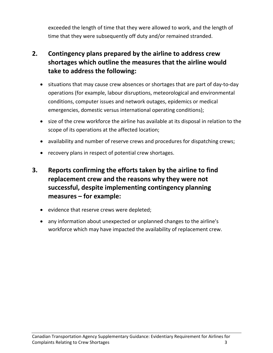exceeded the length of time that they were allowed to work, and the length of time that they were subsequently off duty and/or remained stranded.

## **2. Contingency plans prepared by the airline to address crew shortages which outline the measures that the airline would take to address the following:**

- situations that may cause crew absences or shortages that are part of day-to-day operations (for example, labour disruptions, meteorological and environmental conditions, computer issues and network outages, epidemics or medical emergencies, domestic versus international operating conditions);
- size of the crew workforce the airline has available at its disposal in relation to the scope of its operations at the affected location;
- availability and number of reserve crews and procedures for dispatching crews;
- recovery plans in respect of potential crew shortages.
- **3. Reports confirming the efforts taken by the airline to find replacement crew and the reasons why they were not successful, despite implementing contingency planning measures – for example:**
	- evidence that reserve crews were depleted;
	- any information about unexpected or unplanned changes to the airline's workforce which may have impacted the availability of replacement crew.